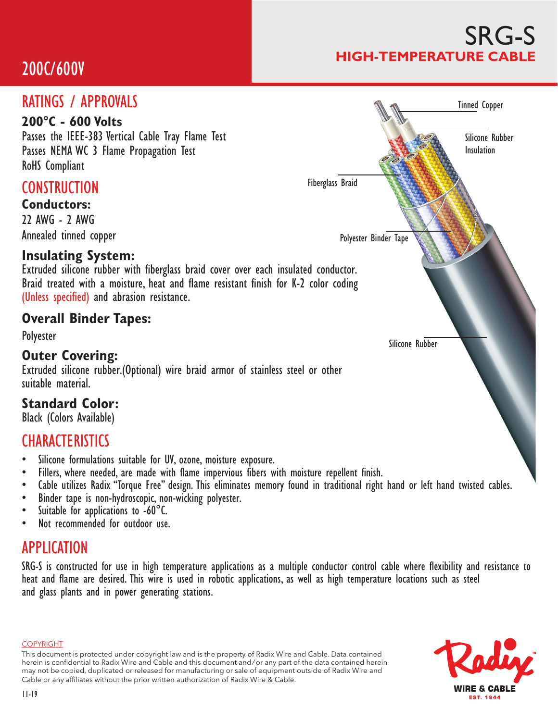# 200C/600V

### SRG-S **HIGH-TEMPERATURE CABLE**

#### **CONSTRUCTION Conductors:** 22 AWG - 2 AWG Annealed tinned copper **Insulating System:** Extruded silicone rubber with fiberglass braid cover over each insulated conductor. Braid treated with a moisture, heat and flame resistant finish for K-2 color coding (Unless specified) and abrasion resistance. **Overall Binder Tapes:** Polyester **Outer Covering:** Extruded silicone rubber.(Optional) wire braid armor of stainless steel or other suitable material. **Standard Color:** Black (Colors Available) **CHARACTERISTICS** • Silicone formulations suitable for UV, ozone, moisture exposure. Fillers, where needed, are made with flame impervious fibers with moisture repellent finish. • Cable utilizes Radix "Torque Free" design. This eliminates memory found in traditional right hand or left hand twisted cables. RATINGS / APPROVALS **200°C - 600 Volts** Passes the IEEE-383 Vertical Cable Tray Flame Test Passes NEMA WC 3 Flame Propagation Test RoHS Compliant Tinned Copper Polyester Binder Tape Silicone Rubber Fiberglass Braid Silicone Rubber Insulation

- Binder tape is non-hydroscopic, non-wicking polyester.
- Suitable for applications to -60°C.
- Not recommended for outdoor use.

#### APPLICATION

SRG-S is constructed for use in high temperature applications as a multiple conductor control cable where flexibility and resistance to heat and flame are desired. This wire is used in robotic applications, as well as high temperature locations such as steel and glass plants and in power generating stations.

COPYRIGHT

This document is protected under copyright law and is the property of Radix Wire and Cable. Data contained herein is confidential to Radix Wire and Cable and this document and / or any part of the data contained herein may not be copied, duplicated or released for manufacturing or sale of equipment outside of Radix Wire and Cable or any affiliates without the prior written authorization of Radix Wire & Cable.